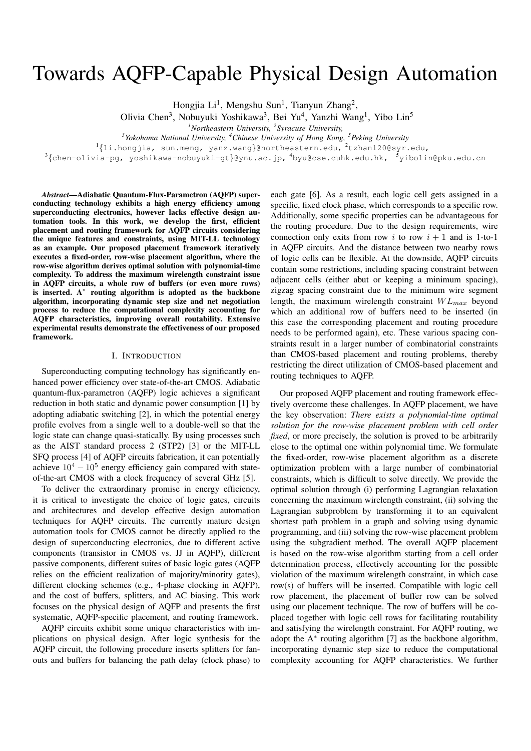# Towards AQFP-Capable Physical Design Automation

Hongjia Li<sup>1</sup>, Mengshu Sun<sup>1</sup>, Tianyun Zhang<sup>2</sup>,

Olivia Chen<sup>3</sup>, Nobuyuki Yoshikawa<sup>3</sup>, Bei Yu<sup>4</sup>, Yanzhi Wang<sup>1</sup>, Yibo Lin<sup>5</sup>

*<sup>1</sup>Northeastern University, <sup>2</sup> Syracuse University,*

*3 Yokohama National University, <sup>4</sup>Chinese University of Hong Kong, <sup>5</sup>Peking University*

 $^{1}\{1$ i.hongjia, sun.meng, yanz.wang}@northeastern.edu, $^{2}$ tzhan120@syr.edu,

 $^3\{$ chen-olivia-pg, yoshikawa-nobuyuki-gt}@ynu.ac.jp,  $^4$ byu@cse.cuhk.edu.hk,  $^5$ yibolin@pku.edu.cn

*Abstract*—Adiabatic Quantum-Flux-Parametron (AQFP) superconducting technology exhibits a high energy efficiency among superconducting electronics, however lacks effective design automation tools. In this work, we develop the first, efficient placement and routing framework for AQFP circuits considering the unique features and constraints, using MIT-LL technology as an example. Our proposed placement framework iteratively executes a fixed-order, row-wise placement algorithm, where the row-wise algorithm derives optimal solution with polynomial-time complexity. To address the maximum wirelength constraint issue in AQFP circuits, a whole row of buffers (or even more rows) is inserted. A<sup>∗</sup> routing algorithm is adopted as the backbone algorithm, incorporating dynamic step size and net negotiation process to reduce the computational complexity accounting for AQFP characteristics, improving overall routability. Extensive experimental results demonstrate the effectiveness of our proposed framework.

#### I. INTRODUCTION

Superconducting computing technology has significantly enhanced power efficiency over state-of-the-art CMOS. Adiabatic quantum-flux-parametron (AQFP) logic achieves a significant reduction in both static and dynamic power consumption [1] by adopting adiabatic switching [2], in which the potential energy profile evolves from a single well to a double-well so that the logic state can change quasi-statically. By using processes such as the AIST standard process 2 (STP2) [3] or the MIT-LL SFQ process [4] of AQFP circuits fabrication, it can potentially achieve  $10^4 - 10^5$  energy efficiency gain compared with stateof-the-art CMOS with a clock frequency of several GHz [5].

To deliver the extraordinary promise in energy efficiency, it is critical to investigate the choice of logic gates, circuits and architectures and develop effective design automation techniques for AQFP circuits. The currently mature design automation tools for CMOS cannot be directly applied to the design of superconducting electronics, due to different active components (transistor in CMOS vs. JJ in AQFP), different passive components, different suites of basic logic gates (AQFP relies on the efficient realization of majority/minority gates), different clocking schemes (e.g., 4-phase clocking in AQFP), and the cost of buffers, splitters, and AC biasing. This work focuses on the physical design of AQFP and presents the first systematic, AQFP-specific placement, and routing framework.

AQFP circuits exhibit some unique characteristics with implications on physical design. After logic synthesis for the AQFP circuit, the following procedure inserts splitters for fanouts and buffers for balancing the path delay (clock phase) to

each gate [6]. As a result, each logic cell gets assigned in a specific, fixed clock phase, which corresponds to a specific row. Additionally, some specific properties can be advantageous for the routing procedure. Due to the design requirements, wire connection only exits from row i to row  $i + 1$  and is 1-to-1 in AQFP circuits. And the distance between two nearby rows of logic cells can be flexible. At the downside, AQFP circuits contain some restrictions, including spacing constraint between adjacent cells (either abut or keeping a minimum spacing), zigzag spacing constraint due to the minimum wire segment length, the maximum wirelength constraint  $WL_{max}$  beyond which an additional row of buffers need to be inserted (in this case the corresponding placement and routing procedure needs to be performed again), etc. These various spacing constraints result in a larger number of combinatorial constraints than CMOS-based placement and routing problems, thereby restricting the direct utilization of CMOS-based placement and routing techniques to AQFP.

Our proposed AQFP placement and routing framework effectively overcome these challenges. In AQFP placement, we have the key observation: *There exists a polynomial-time optimal solution for the row-wise placement problem with cell order fixed*, or more precisely, the solution is proved to be arbitrarily close to the optimal one within polynomial time. We formulate the fixed-order, row-wise placement algorithm as a discrete optimization problem with a large number of combinatorial constraints, which is difficult to solve directly. We provide the optimal solution through (i) performing Lagrangian relaxation concerning the maximum wirelength constraint, (ii) solving the Lagrangian subproblem by transforming it to an equivalent shortest path problem in a graph and solving using dynamic programming, and (iii) solving the row-wise placement problem using the subgradient method. The overall AQFP placement is based on the row-wise algorithm starting from a cell order determination process, effectively accounting for the possible violation of the maximum wirelength constraint, in which case row(s) of buffers will be inserted. Compatible with logic cell row placement, the placement of buffer row can be solved using our placement technique. The row of buffers will be coplaced together with logic cell rows for facilitating routability and satisfying the wirelength constraint. For AQFP routing, we adopt the A<sup>\*</sup> routing algorithm [7] as the backbone algorithm, incorporating dynamic step size to reduce the computational complexity accounting for AQFP characteristics. We further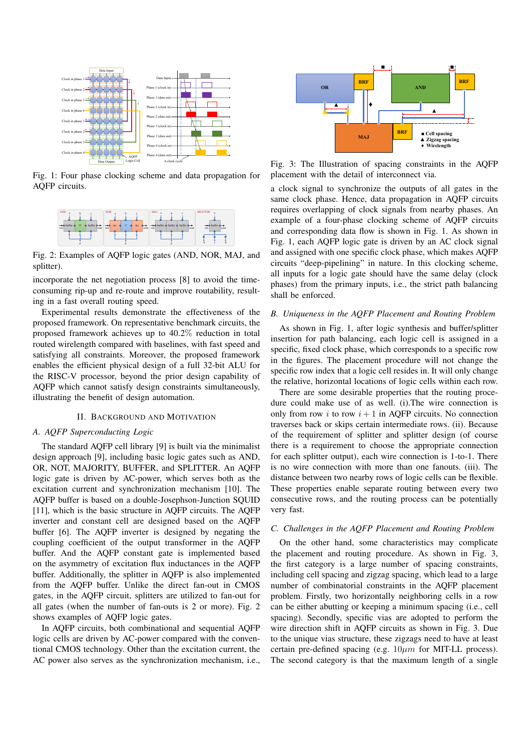

Fig. 1: Four phase clocking scheme and data propagation for AQFP circuits.



Fig. 2: Examples of AQFP logic gates (AND, NOR, MAJ, and splitter).

incorporate the net negotiation process [8] to avoid the timeconsuming rip-up and re-route and improve routability, resulting in a fast overall routing speed.

Experimental results demonstrate the effectiveness of the proposed framework. On representative benchmark circuits, the proposed framework achieves up to 40.2% reduction in total routed wirelength compared with baselines, with fast speed and satisfying all constraints. Moreover, the proposed framework enables the efficient physical design of a full 32-bit ALU for the RISC-V processor, beyond the prior design capability of AQFP which cannot satisfy design constraints simultaneously, illustrating the benefit of design automation.

#### II. BACKGROUND AND MOTIVATION

## *A. AQFP Superconducting Logic*

The standard AQFP cell library [9] is built via the minimalist design approach [9], including basic logic gates such as AND, OR, NOT, MAJORITY, BUFFER, and SPLITTER. An AQFP logic gate is driven by AC-power, which serves both as the excitation current and synchronization mechanism [10]. The AQFP buffer is based on a double-Josephson-Junction SQUID [11], which is the basic structure in AQFP circuits. The AQFP inverter and constant cell are designed based on the AQFP buffer [6]. The AQFP inverter is designed by negating the coupling coefficient of the output transformer in the AQFP buffer. And the AQFP constant gate is implemented based on the asymmetry of excitation flux inductances in the AQFP buffer. Additionally, the splitter in AQFP is also implemented from the AQFP buffer. Unlike the direct fan-out in CMOS gates, in the AQFP circuit, splitters are utilized to fan-out for all gates (when the number of fan-outs is 2 or more). Fig. 2 shows examples of AQFP logic gates.

In AQFP circuits, both combinational and sequential AQFP logic cells are driven by AC-power compared with the conventional CMOS technology. Other than the excitation current, the AC power also serves as the synchronization mechanism, i.e.,



Fig. 3: The Illustration of spacing constraints in the AQFP placement with the detail of interconnect via.

a clock signal to synchronize the outputs of all gates in the same clock phase. Hence, data propagation in AQFP circuits requires overlapping of clock signals from nearby phases. An example of a four-phase clocking scheme of AQFP circuits and corresponding data flow is shown in Fig. 1. As shown in Fig. 1, each AQFP logic gate is driven by an AC clock signal and assigned with one specific clock phase, which makes AQFP circuits "deep-pipelining" in nature. In this clocking scheme, all inputs for a logic gate should have the same delay (clock phases) from the primary inputs, i.e., the strict path balancing shall be enforced.

#### *B. Uniqueness in the AQFP Placement and Routing Problem*

As shown in Fig. 1, after logic synthesis and buffer/splitter insertion for path balancing, each logic cell is assigned in a specific, fixed clock phase, which corresponds to a specific row in the figures. The placement procedure will not change the specific row index that a logic cell resides in. It will only change the relative, horizontal locations of logic cells within each row.

There are some desirable properties that the routing procedure could make use of as well. (i).The wire connection is only from row  $i$  to row  $i + 1$  in AQFP circuits. No connection traverses back or skips certain intermediate rows. (ii). Because of the requirement of splitter and splitter design (of course there is a requirement to choose the appropriate connection for each splitter output), each wire connection is 1-to-1. There is no wire connection with more than one fanouts. (iii). The distance between two nearby rows of logic cells can be flexible. These properties enable separate routing between every two consecutive rows, and the routing process can be potentially very fast.

## *C. Challenges in the AQFP Placement and Routing Problem*

On the other hand, some characteristics may complicate the placement and routing procedure. As shown in Fig. 3, the first category is a large number of spacing constraints, including cell spacing and zigzag spacing, which lead to a large number of combinatorial constraints in the AQFP placement problem. Firstly, two horizontally neighboring cells in a row can be either abutting or keeping a minimum spacing (i.e., cell spacing). Secondly, specific vias are adopted to perform the wire direction shift in AQFP circuits as shown in Fig. 3. Due to the unique vias structure, these zigzags need to have at least certain pre-defined spacing (e.g.  $10 \mu m$  for MIT-LL process). The second category is that the maximum length of a single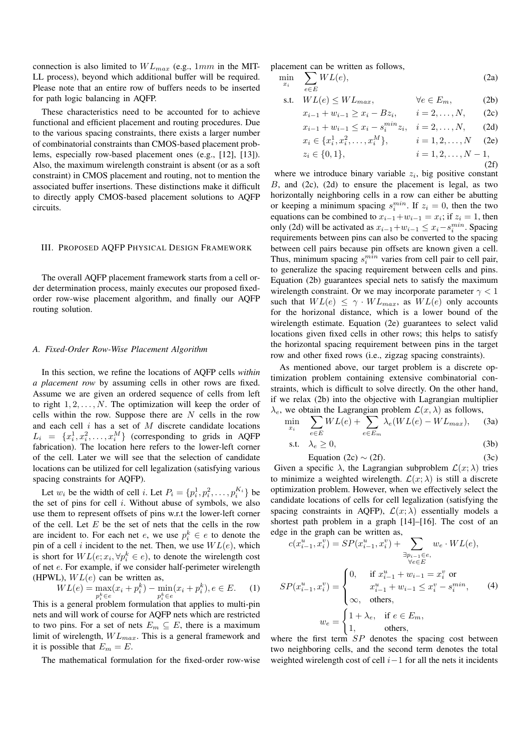connection is also limited to  $WL_{max}$  (e.g., 1mm in the MIT-LL process), beyond which additional buffer will be required. Please note that an entire row of buffers needs to be inserted for path logic balancing in AQFP.

These characteristics need to be accounted for to achieve functional and efficient placement and routing procedures. Due to the various spacing constraints, there exists a larger number of combinatorial constraints than CMOS-based placement problems, especially row-based placement ones (e.g., [12], [13]). Also, the maximum wirelength constraint is absent (or as a soft constraint) in CMOS placement and routing, not to mention the associated buffer insertions. These distinctions make it difficult to directly apply CMOS-based placement solutions to AQFP circuits.

## III. PROPOSED AQFP PHYSICAL DESIGN FRAMEWORK

The overall AQFP placement framework starts from a cell order determination process, mainly executes our proposed fixedorder row-wise placement algorithm, and finally our AQFP routing solution.

#### *A. Fixed-Order Row-Wise Placement Algorithm*

In this section, we refine the locations of AQFP cells *within a placement row* by assuming cells in other rows are fixed. Assume we are given an ordered sequence of cells from left to right  $1, 2, \ldots, N$ . The optimization will keep the order of cells within the row. Suppose there are  $N$  cells in the row and each cell  $i$  has a set of  $M$  discrete candidate locations  $L_i = \{x_i^1, x_i^2, \dots, x_i^M\}$  (corresponding to grids in AQFP fabrication). The location here refers to the lower-left corner of the cell. Later we will see that the selection of candidate locations can be utilized for cell legalization (satisfying various spacing constraints for AQFP).

Let  $w_i$  be the width of cell *i*. Let  $P_i = \{p_i^1, p_i^2, \dots, p_i^{K_i}\}\)$ the set of pins for cell  $i$ . Without abuse of symbols, we also use them to represent offsets of pins w.r.t the lower-left corner of the cell. Let  $E$  be the set of nets that the cells in the row are incident to. For each net e, we use  $p_i^k \in e$  to denote the pin of a cell i incident to the net. Then, we use  $WL(e)$ , which is short for  $WL(e; x_i, \forall p_i^k \in e)$ , to denote the wirelength cost of net e. For example, if we consider half-perimeter wirelength (HPWL),  $WL(e)$  can be written as,

$$
WL(e) = \max_{p_i^k \in e} (x_i + p_i^k) - \min_{p_i^k \in e} (x_i + p_i^k), e \in E.
$$
 (1)

This is a general problem formulation that applies to multi-pin nets and will work of course for AQFP nets which are restricted to two pins. For a set of nets  $E_m \subseteq E$ , there is a maximum limit of wirelength,  $WL_{max}$ . This is a general framework and it is possible that  $E_m = E$ .

The mathematical formulation for the fixed-order row-wise

placement can be written as follows,

$$
\min_{x_i} \quad \sum_{e \in E} WL(e),\tag{2a}
$$

$$
\text{s.t.} \quad WL(e) \le WL_{max}, \qquad \forall e \in E_m, \tag{2b}
$$

$$
x_{i-1} + w_{i-1} \ge x_i - Bz_i, \qquad i = 2, \dots, N, \qquad (2c)
$$

$$
x_{i-1} + w_{i-1} \le x_i - s_i^{min} z_i, \quad i = 2, ..., N,
$$
 (2d)

$$
x_i \in \{x_i^1, x_i^2, \dots, x_i^M\}, \qquad i = 1, 2, \dots, N \quad (2e)
$$

$$
z_i \in \{0, 1\},
$$
  $i = 1, 2, ..., N - 1,$  (2f)

where we introduce binary variable  $z_i$ , big positive constant  $B$ , and  $(2c)$ ,  $(2d)$  to ensure the placement is legal, as two horizontally neighboring cells in a row can either be abutting or keeping a minimum spacing  $s_i^{min}$ . If  $z_i = 0$ , then the two equations can be combined to  $x_{i-1} + w_{i-1} = x_i$ ; if  $z_i = 1$ , then only (2d) will be activated as  $x_{i-1} + w_{i-1} \leq x_i - s_i^{min}$ . Spacing requirements between pins can also be converted to the spacing between cell pairs because pin offsets are known given a cell. Thus, minimum spacing  $s_i^{min}$  varies from cell pair to cell pair, to generalize the spacing requirement between cells and pins. Equation (2b) guarantees special nets to satisfy the maximum wirelength constraint. Or we may incorporate parameter  $\gamma$  < 1 such that  $WL(e) \leq \gamma \cdot WL_{max}$ , as  $WL(e)$  only accounts for the horizonal distance, which is a lower bound of the wirelength estimate. Equation (2e) guarantees to select valid locations given fixed cells in other rows; this helps to satisfy the horizontal spacing requirement between pins in the target row and other fixed rows (i.e., zigzag spacing constraints).

As mentioned above, our target problem is a discrete optimization problem containing extensive combinatorial constraints, which is difficult to solve directly. On the other hand, if we relax (2b) into the objective with Lagrangian multiplier  $\lambda_e$ , we obtain the Lagrangian problem  $\mathcal{L}(x,\lambda)$  as follows,

$$
\min_{x_i} \quad \sum_{e \in E} WL(e) + \sum_{e \in E_m} \lambda_e(WL(e) - WL_{max}), \quad (3a)
$$

$$
\text{s.t.} \quad \lambda_e \ge 0,\tag{3b}
$$

Equation (2c) 
$$
\sim
$$
 (2f). (3c)

Given a specific  $\lambda$ , the Lagrangian subproblem  $\mathcal{L}(x; \lambda)$  tries to minimize a weighted wirelength.  $\mathcal{L}(x; \lambda)$  is still a discrete optimization problem. However, when we effectively select the candidate locations of cells for cell legalization (satisfying the spacing constraints in AQFP),  $\mathcal{L}(x; \lambda)$  essentially models a shortest path problem in a graph [14]–[16]. The cost of an edge in the graph can be written as,

$$
c(x_{i-1}^u, x_i^v) = SP(x_{i-1}^u, x_i^v) + \sum_{\substack{\exists p_{i-1} \in e, \\ \forall e \in E}} w_e \cdot WL(e),
$$
  

$$
SP(x_{i-1}^u, x_i^v) = \begin{cases} 0, & \text{if } x_{i-1}^u + w_{i-1} = x_i^v \text{ or } \\ & x_{i-1}^u + w_{i-1} \le x_i^v - s_i^{min}, \\ \infty, & \text{others}, \end{cases}
$$
(4)  

$$
w_e = \begin{cases} 1 + \lambda_e, & \text{if } e \in E_m, \\ 1, & \text{others}, \end{cases}
$$

where the first term  $SP$  denotes the spacing cost between two neighboring cells, and the second term denotes the total weighted wirelength cost of cell  $i-1$  for all the nets it incidents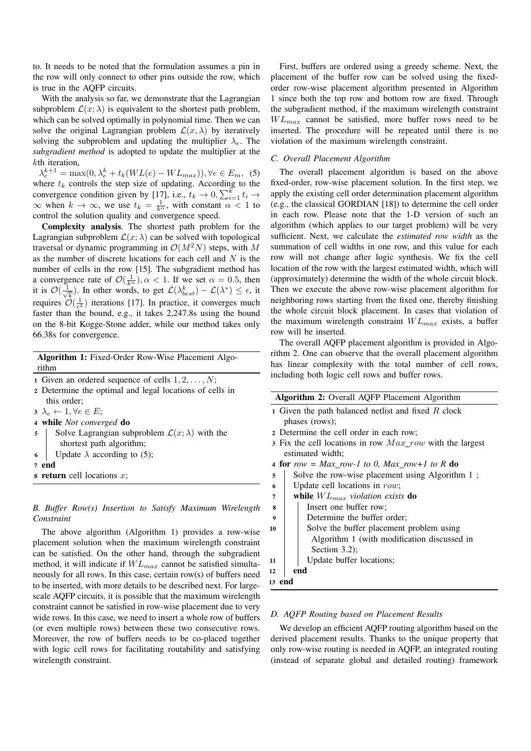to. It needs to be noted that the formulation assumes a pin in the row will only connect to other pins outside the row, which is true in the AQFP circuits.

With the analysis so far, we demonstrate that the Lagrangian subproblem  $\mathcal{L}(x; \lambda)$  is equivalent to the shortest path problem, which can be solved optimally in polynomial time. Then we can solve the original Lagrangian problem  $\mathcal{L}(x, \lambda)$  by iteratively solving the subproblem and updating the multiplier  $\lambda_e$ . The *subgradient method* is adopted to update the multiplier at the kth iteration,

 $\lambda_e^{k+1} = \max(0, \lambda_e^k + t_k(WL(e) - WL_{max}))$ ,  $\forall e \in E_m$ , (5) where  $t_k$  controls the step size of updating. According to the convergence condition given by [17], i.e.,  $t_k \to 0, \sum_{i=1}^k t_i \to$  $\infty$  when  $k \to \infty$ , we use  $t_k = \frac{1}{k^\alpha}$ , with constant  $\alpha < 1$  to control the solution quality and convergence speed.

Complexity analysis. The shortest path problem for the Lagrangian subproblem  $\mathcal{L}(x; \lambda)$  can be solved with topological traversal or dynamic programming in  $\mathcal{O}(M^2N)$  steps, with M as the number of discrete locations for each cell and  $N$  is the number of cells in the row [15]. The subgradient method has a convergence rate of  $\mathcal{O}(\frac{1}{k^{\alpha}})$ ,  $\alpha < 1$ . If we set  $\alpha = 0.5$ , then it is  $\mathcal{O}(\frac{1}{\sqrt{2}})$  $(\frac{1}{k})$ . In other words, to get  $\mathcal{L}(\lambda_{best}^k) - \mathcal{L}(\lambda^*) \leq \epsilon$ , it requires  $\mathcal{O}(\frac{1}{\epsilon^2})$  iterations [17]. In practice, it converges much faster than the bound, e.g., it takes 2,247.8s using the bound on the 8-bit Kogge-Stone adder, while our method takes only 66.38s for convergence.

Algorithm 1: Fixed-Order Row-Wise Placement Algorithm

- 1 Given an ordered sequence of cells  $1, 2, \ldots, N$ ;
- <sup>2</sup> Determine the optimal and legal locations of cells in this order;

 $3 \ \lambda_e \leftarrow 1, \forall e \in E;$ 

```
4 while Not converged do
```
- 5 Solve Lagrangian subproblem  $\mathcal{L}(x; \lambda)$  with the shortest path algorithm;
- 6 Update  $\lambda$  according to (5);

```
7 end
```

```
\bf{s} return cell locations x;
```
## *B. Buffer Row(s) Insertion to Satisfy Maximum Wirelength Constraint*

The above algorithm (Algorithm 1) provides a row-wise placement solution when the maximum wirelength constraint can be satisfied. On the other hand, through the subgradient method, it will indicate if  $WL_{max}$  cannot be satisfied simultaneously for all rows. In this case, certain row(s) of buffers need to be inserted, with more details to be described next. For largescale AQFP circuits, it is possible that the maximum wirelength constraint cannot be satisfied in row-wise placement due to very wide rows. In this case, we need to insert a whole row of buffers (or even multiple rows) between these two consecutive rows. Moreover, the row of buffers needs to be co-placed together with logic cell rows for facilitating routability and satisfying wirelength constraint.

First, buffers are ordered using a greedy scheme. Next, the placement of the buffer row can be solved using the fixedorder row-wise placement algorithm presented in Algorithm 1 since both the top row and bottom row are fixed. Through the subgradient method, if the maximum wirelength constraint  $WL_{max}$  cannot be satisfied, more buffer rows need to be inserted. The procedure will be repeated until there is no violation of the maximum wirelength constraint.

## *C. Overall Placement Algorithm*

The overall placement algorithm is based on the above fixed-order, row-wise placement solution. In the first step, we apply the existing cell order determination placement algorithm (e.g., the classical GORDIAN [18]) to determine the cell order in each row. Please note that the 1-D version of such an algorithm (which applies to our target problem) will be very sufficient. Next, we calculate the *estimated row width* as the summation of cell widths in one row, and this value for each row will not change after logic synthesis. We fix the cell location of the row with the largest estimated width, which will (approximately) determine the width of the whole circuit block. Then we execute the above row-wise placement algorithm for neighboring rows starting from the fixed one, thereby finishing the whole circuit block placement. In cases that violation of the maximum wirelength constraint  $WL_{max}$  exists, a buffer row will be inserted.

The overall AQFP placement algorithm is provided in Algorithm 2. One can observe that the overall placement algorithm has linear complexity with the total number of cell rows, including both logic cell rows and buffer rows.

| Algorithm 2: Overall AQFP Placement Algorithm              |  |  |  |  |  |  |  |  |
|------------------------------------------------------------|--|--|--|--|--|--|--|--|
| 1 Given the path balanced netlist and fixed $R$ clock      |  |  |  |  |  |  |  |  |
| phases (rows);                                             |  |  |  |  |  |  |  |  |
| 2 Determine the cell order in each row;                    |  |  |  |  |  |  |  |  |
| 3 Fix the cell locations in row $Max$ row with the largest |  |  |  |  |  |  |  |  |
| estimated width;                                           |  |  |  |  |  |  |  |  |
| 4 for row = Max row-1 to 0, Max row+1 to R do              |  |  |  |  |  |  |  |  |
| Solve the row-wise placement using Algorithm 1;<br>5       |  |  |  |  |  |  |  |  |
| Update cell locations in $row$ ;<br>6                      |  |  |  |  |  |  |  |  |
| while $WL_{max}$ violation exists do<br>7                  |  |  |  |  |  |  |  |  |
| Insert one buffer row;<br>8                                |  |  |  |  |  |  |  |  |
| Determine the buffer order;<br>9                           |  |  |  |  |  |  |  |  |
| Solve the buffer placement problem using<br>10             |  |  |  |  |  |  |  |  |
| Algorithm 1 (with modification discussed in                |  |  |  |  |  |  |  |  |
| Section $3.2$ ;                                            |  |  |  |  |  |  |  |  |
| Update buffer locations;<br>11                             |  |  |  |  |  |  |  |  |
| end<br>12                                                  |  |  |  |  |  |  |  |  |
| 13 end                                                     |  |  |  |  |  |  |  |  |

## *D. AQFP Routing based on Placement Results*

We develop an efficient AQFP routing algorithm based on the derived placement results. Thanks to the unique property that only row-wise routing is needed in AQFP, an integrated routing (instead of separate global and detailed routing) framework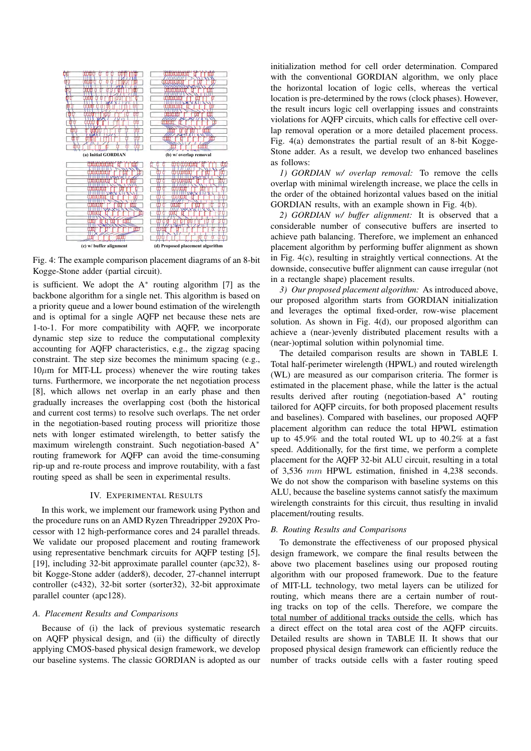

Fig. 4: The example comparison placement diagrams of an 8-bit Kogge-Stone adder (partial circuit).

is sufficient. We adopt the  $A^*$  routing algorithm [7] as the backbone algorithm for a single net. This algorithm is based on a priority queue and a lower bound estimation of the wirelength and is optimal for a single AQFP net because these nets are 1-to-1. For more compatibility with AQFP, we incorporate dynamic step size to reduce the computational complexity accounting for AQFP characteristics, e.g., the zigzag spacing constraint. The step size becomes the minimum spacing (e.g.,  $10\mu$ m for MIT-LL process) whenever the wire routing takes turns. Furthermore, we incorporate the net negotiation process [8], which allows net overlap in an early phase and then gradually increases the overlapping cost (both the historical and current cost terms) to resolve such overlaps. The net order in the negotiation-based routing process will prioritize those nets with longer estimated wirelength, to better satisfy the maximum wirelength constraint. Such negotiation-based A<sup>∗</sup> routing framework for AQFP can avoid the time-consuming rip-up and re-route process and improve routability, with a fast routing speed as shall be seen in experimental results.

## IV. EXPERIMENTAL RESULTS

In this work, we implement our framework using Python and the procedure runs on an AMD Ryzen Threadripper 2920X Processor with 12 high-performance cores and 24 parallel threads. We validate our proposed placement and routing framework using representative benchmark circuits for AQFP testing [5], [19], including 32-bit approximate parallel counter (apc32), 8 bit Kogge-Stone adder (adder8), decoder, 27-channel interrupt controller (c432), 32-bit sorter (sorter32), 32-bit approximate parallel counter (apc128).

#### *A. Placement Results and Comparisons*

Because of (i) the lack of previous systematic research on AQFP physical design, and (ii) the difficulty of directly applying CMOS-based physical design framework, we develop our baseline systems. The classic GORDIAN is adopted as our

initialization method for cell order determination. Compared with the conventional GORDIAN algorithm, we only place the horizontal location of logic cells, whereas the vertical location is pre-determined by the rows (clock phases). However, the result incurs logic cell overlapping issues and constraints violations for AQFP circuits, which calls for effective cell overlap removal operation or a more detailed placement process. Fig. 4(a) demonstrates the partial result of an 8-bit Kogge-Stone adder. As a result, we develop two enhanced baselines as follows:

*1) GORDIAN w/ overlap removal:* To remove the cells overlap with minimal wirelength increase, we place the cells in the order of the obtained horizontal values based on the initial GORDIAN results, with an example shown in Fig. 4(b).

*2) GORDIAN w/ buffer alignment:* It is observed that a considerable number of consecutive buffers are inserted to achieve path balancing. Therefore, we implement an enhanced placement algorithm by performing buffer alignment as shown in Fig. 4(c), resulting in straightly vertical connections. At the downside, consecutive buffer alignment can cause irregular (not in a rectangle shape) placement results.

*3) Our proposed placement algorithm:* As introduced above, our proposed algorithm starts from GORDIAN initialization and leverages the optimal fixed-order, row-wise placement solution. As shown in Fig. 4(d), our proposed algorithm can achieve a (near-)evenly distributed placement results with a (near-)optimal solution within polynomial time.

The detailed comparison results are shown in TABLE I. Total half-perimeter wirelength (HPWL) and routed wirelength (WL) are measured as our comparison criteria. The former is estimated in the placement phase, while the latter is the actual results derived after routing (negotiation-based A<sup>∗</sup> routing tailored for AQFP circuits, for both proposed placement results and baselines). Compared with baselines, our proposed AQFP placement algorithm can reduce the total HPWL estimation up to 45.9% and the total routed WL up to 40.2% at a fast speed. Additionally, for the first time, we perform a complete placement for the AQFP 32-bit ALU circuit, resulting in a total of 3,536 mm HPWL estimation, finished in 4,238 seconds. We do not show the comparison with baseline systems on this ALU, because the baseline systems cannot satisfy the maximum wirelength constraints for this circuit, thus resulting in invalid placement/routing results.

#### *B. Routing Results and Comparisons*

To demonstrate the effectiveness of our proposed physical design framework, we compare the final results between the above two placement baselines using our proposed routing algorithm with our proposed framework. Due to the feature of MIT-LL technology, two metal layers can be utilized for routing, which means there are a certain number of routing tracks on top of the cells. Therefore, we compare the total number of additional tracks outside the cells, which has a direct effect on the total area cost of the AQFP circuits. Detailed results are shown in TABLE II. It shows that our proposed physical design framework can efficiently reduce the number of tracks outside cells with a faster routing speed